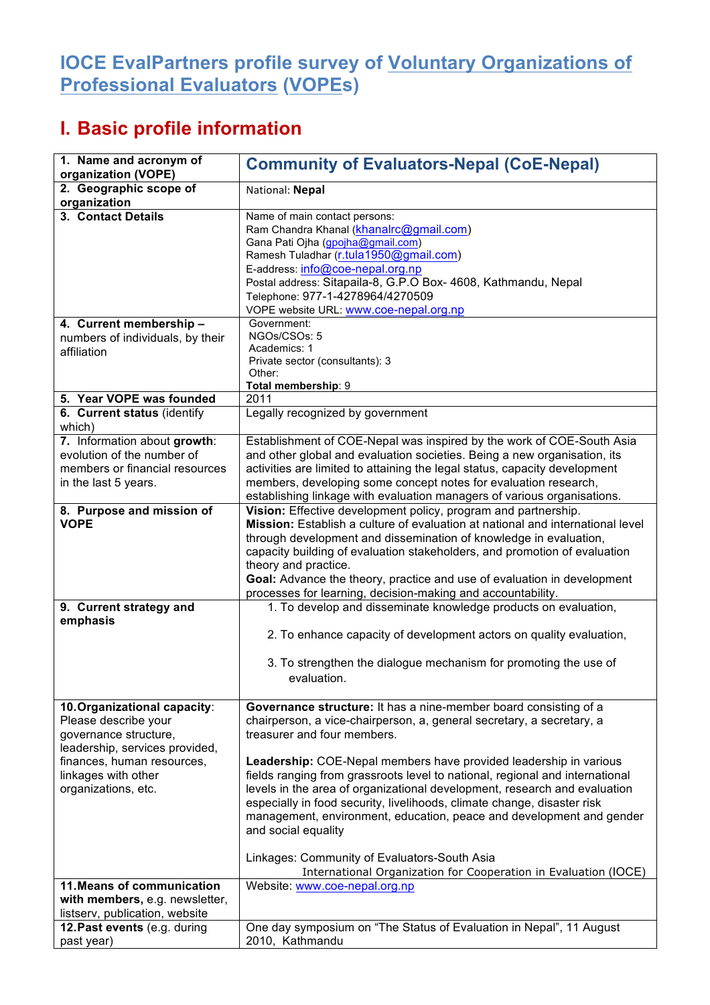## **IOCE EvalPartners profile survey of Voluntary Organizations of Professional Evaluators (VOPEs)**

## **I. Basic profile information**

| 1. Name and acronym of<br>organization (VOPE)                                                                                                                                               | <b>Community of Evaluators-Nepal (CoE-Nepal)</b>                                                                                                                                                                                                                                                                                                                                                                                                                                                                                                                                                                                                                                                        |
|---------------------------------------------------------------------------------------------------------------------------------------------------------------------------------------------|---------------------------------------------------------------------------------------------------------------------------------------------------------------------------------------------------------------------------------------------------------------------------------------------------------------------------------------------------------------------------------------------------------------------------------------------------------------------------------------------------------------------------------------------------------------------------------------------------------------------------------------------------------------------------------------------------------|
| 2. Geographic scope of<br>organization                                                                                                                                                      | National: Nepal                                                                                                                                                                                                                                                                                                                                                                                                                                                                                                                                                                                                                                                                                         |
| 3. Contact Details                                                                                                                                                                          | Name of main contact persons:<br>Ram Chandra Khanal (khanalrc@gmail.com)<br>Gana Pati Ojha (gpojha@gmail.com)<br>Ramesh Tuladhar (r.tula1950@gmail.com)<br>E-address: info@coe-nepal.org.np<br>Postal address: Sitapaila-8, G.P.O Box- 4608, Kathmandu, Nepal<br>Telephone: 977-1-4278964/4270509<br>VOPE website URL: www.coe-nepal.org.np                                                                                                                                                                                                                                                                                                                                                             |
| 4. Current membership -<br>numbers of individuals, by their<br>affiliation                                                                                                                  | Government:<br>NGOs/CSOs: 5<br>Academics: 1<br>Private sector (consultants): 3<br>Other:<br>Total membership: 9                                                                                                                                                                                                                                                                                                                                                                                                                                                                                                                                                                                         |
| 5. Year VOPE was founded                                                                                                                                                                    | 2011                                                                                                                                                                                                                                                                                                                                                                                                                                                                                                                                                                                                                                                                                                    |
| 6. Current status (identify<br>which)                                                                                                                                                       | Legally recognized by government                                                                                                                                                                                                                                                                                                                                                                                                                                                                                                                                                                                                                                                                        |
| 7. Information about growth:<br>evolution of the number of<br>members or financial resources<br>in the last 5 years.                                                                        | Establishment of COE-Nepal was inspired by the work of COE-South Asia<br>and other global and evaluation societies. Being a new organisation, its<br>activities are limited to attaining the legal status, capacity development<br>members, developing some concept notes for evaluation research,<br>establishing linkage with evaluation managers of various organisations.                                                                                                                                                                                                                                                                                                                           |
| 8. Purpose and mission of<br><b>VOPE</b><br>9. Current strategy and<br>emphasis                                                                                                             | Vision: Effective development policy, program and partnership.<br>Mission: Establish a culture of evaluation at national and international level<br>through development and dissemination of knowledge in evaluation,<br>capacity building of evaluation stakeholders, and promotion of evaluation<br>theory and practice.<br>Goal: Advance the theory, practice and use of evaluation in development<br>processes for learning, decision-making and accountability.<br>1. To develop and disseminate knowledge products on evaluation,<br>2. To enhance capacity of development actors on quality evaluation,                                                                                          |
|                                                                                                                                                                                             | 3. To strengthen the dialogue mechanism for promoting the use of<br>evaluation.                                                                                                                                                                                                                                                                                                                                                                                                                                                                                                                                                                                                                         |
| 10. Organizational capacity:<br>Please describe your<br>governance structure,<br>leadership, services provided,<br>finances, human resources,<br>linkages with other<br>organizations, etc. | Governance structure: It has a nine-member board consisting of a<br>chairperson, a vice-chairperson, a, general secretary, a secretary, a<br>treasurer and four members.<br>Leadership: COE-Nepal members have provided leadership in various<br>fields ranging from grassroots level to national, regional and international<br>levels in the area of organizational development, research and evaluation<br>especially in food security, livelihoods, climate change, disaster risk<br>management, environment, education, peace and development and gender<br>and social equality<br>Linkages: Community of Evaluators-South Asia<br>International Organization for Cooperation in Evaluation (IOCE) |
| 11. Means of communication<br>with members, e.g. newsletter,                                                                                                                                | Website: www.coe-nepal.org.np                                                                                                                                                                                                                                                                                                                                                                                                                                                                                                                                                                                                                                                                           |
| listserv, publication, website<br>12. Past events (e.g. during<br>past year)                                                                                                                | One day symposium on "The Status of Evaluation in Nepal", 11 August<br>2010, Kathmandu                                                                                                                                                                                                                                                                                                                                                                                                                                                                                                                                                                                                                  |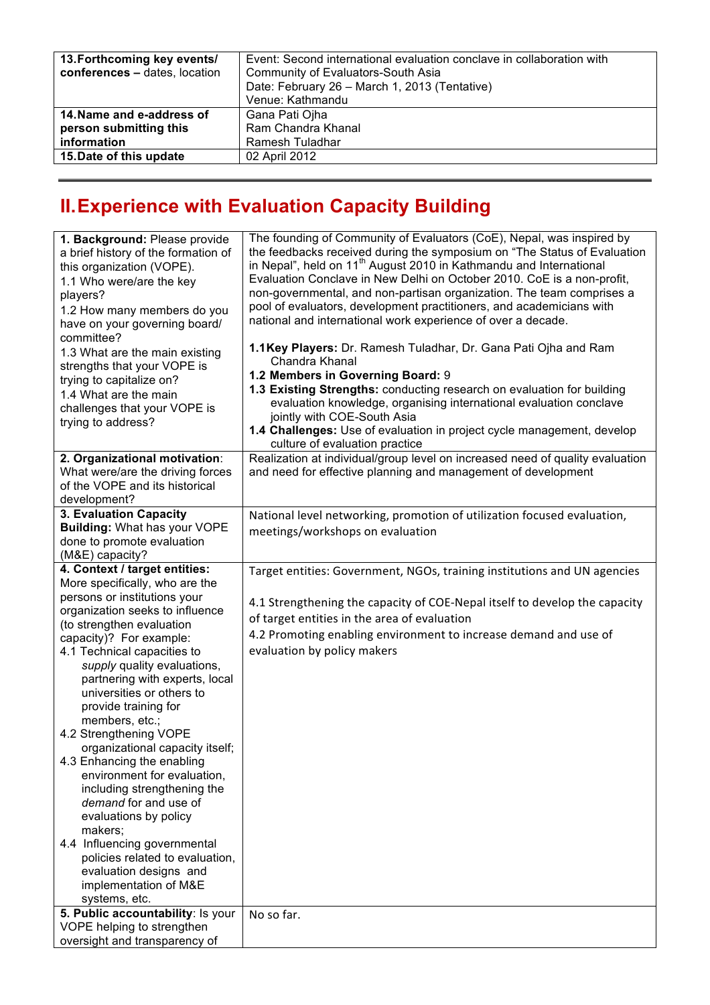| 13. Forthcoming key events/   | Event: Second international evaluation conclave in collaboration with |
|-------------------------------|-----------------------------------------------------------------------|
| conferences - dates, location | Community of Evaluators-South Asia                                    |
|                               | Date: February 26 - March 1, 2013 (Tentative)                         |
|                               | Venue: Kathmandu                                                      |
| 14. Name and e-address of     | Gana Pati Ojha                                                        |
| person submitting this        | Ram Chandra Khanal                                                    |
| information                   | Ramesh Tuladhar                                                       |
| 15. Date of this update       | 02 April 2012                                                         |
|                               |                                                                       |

## **II.Experience with Evaluation Capacity Building**

| 1. Background: Please provide<br>a brief history of the formation of<br>this organization (VOPE).<br>1.1 Who were/are the key<br>players?<br>1.2 How many members do you<br>have on your governing board/                                                                                                                                                                                                                                                                                                                                                                                                                                                                                                                                                           | The founding of Community of Evaluators (CoE), Nepal, was inspired by<br>the feedbacks received during the symposium on "The Status of Evaluation<br>in Nepal", held on 11 <sup>th</sup> August 2010 in Kathmandu and International<br>Evaluation Conclave in New Delhi on October 2010. CoE is a non-profit,<br>non-governmental, and non-partisan organization. The team comprises a<br>pool of evaluators, development practitioners, and academicians with<br>national and international work experience of over a decade. |
|---------------------------------------------------------------------------------------------------------------------------------------------------------------------------------------------------------------------------------------------------------------------------------------------------------------------------------------------------------------------------------------------------------------------------------------------------------------------------------------------------------------------------------------------------------------------------------------------------------------------------------------------------------------------------------------------------------------------------------------------------------------------|--------------------------------------------------------------------------------------------------------------------------------------------------------------------------------------------------------------------------------------------------------------------------------------------------------------------------------------------------------------------------------------------------------------------------------------------------------------------------------------------------------------------------------|
| committee?<br>1.3 What are the main existing<br>strengths that your VOPE is<br>trying to capitalize on?<br>1.4 What are the main<br>challenges that your VOPE is<br>trying to address?                                                                                                                                                                                                                                                                                                                                                                                                                                                                                                                                                                              | 1.1 Key Players: Dr. Ramesh Tuladhar, Dr. Gana Pati Ojha and Ram<br>Chandra Khanal<br>1.2 Members in Governing Board: 9<br>1.3 Existing Strengths: conducting research on evaluation for building<br>evaluation knowledge, organising international evaluation conclave<br>jointly with COE-South Asia<br>1.4 Challenges: Use of evaluation in project cycle management, develop<br>culture of evaluation practice                                                                                                             |
| 2. Organizational motivation:<br>What were/are the driving forces<br>of the VOPE and its historical<br>development?                                                                                                                                                                                                                                                                                                                                                                                                                                                                                                                                                                                                                                                 | Realization at individual/group level on increased need of quality evaluation<br>and need for effective planning and management of development                                                                                                                                                                                                                                                                                                                                                                                 |
| 3. Evaluation Capacity<br><b>Building: What has your VOPE</b><br>done to promote evaluation<br>(M&E) capacity?                                                                                                                                                                                                                                                                                                                                                                                                                                                                                                                                                                                                                                                      | National level networking, promotion of utilization focused evaluation,<br>meetings/workshops on evaluation                                                                                                                                                                                                                                                                                                                                                                                                                    |
| 4. Context / target entities:<br>More specifically, who are the<br>persons or institutions your<br>organization seeks to influence<br>(to strengthen evaluation<br>capacity)? For example:<br>4.1 Technical capacities to<br>supply quality evaluations,<br>partnering with experts, local<br>universities or others to<br>provide training for<br>members, etc.;<br>4.2 Strengthening VOPE<br>organizational capacity itself;<br>4.3 Enhancing the enabling<br>environment for evaluation,<br>including strengthening the<br>demand for and use of<br>evaluations by policy<br>makers;<br>4.4 Influencing governmental<br>policies related to evaluation,<br>evaluation designs and<br>implementation of M&E<br>systems, etc.<br>5. Public accountability: Is your | Target entities: Government, NGOs, training institutions and UN agencies<br>4.1 Strengthening the capacity of COE-Nepal itself to develop the capacity<br>of target entities in the area of evaluation<br>4.2 Promoting enabling environment to increase demand and use of<br>evaluation by policy makers<br>No so far.                                                                                                                                                                                                        |
| VOPE helping to strengthen<br>oversight and transparency of                                                                                                                                                                                                                                                                                                                                                                                                                                                                                                                                                                                                                                                                                                         |                                                                                                                                                                                                                                                                                                                                                                                                                                                                                                                                |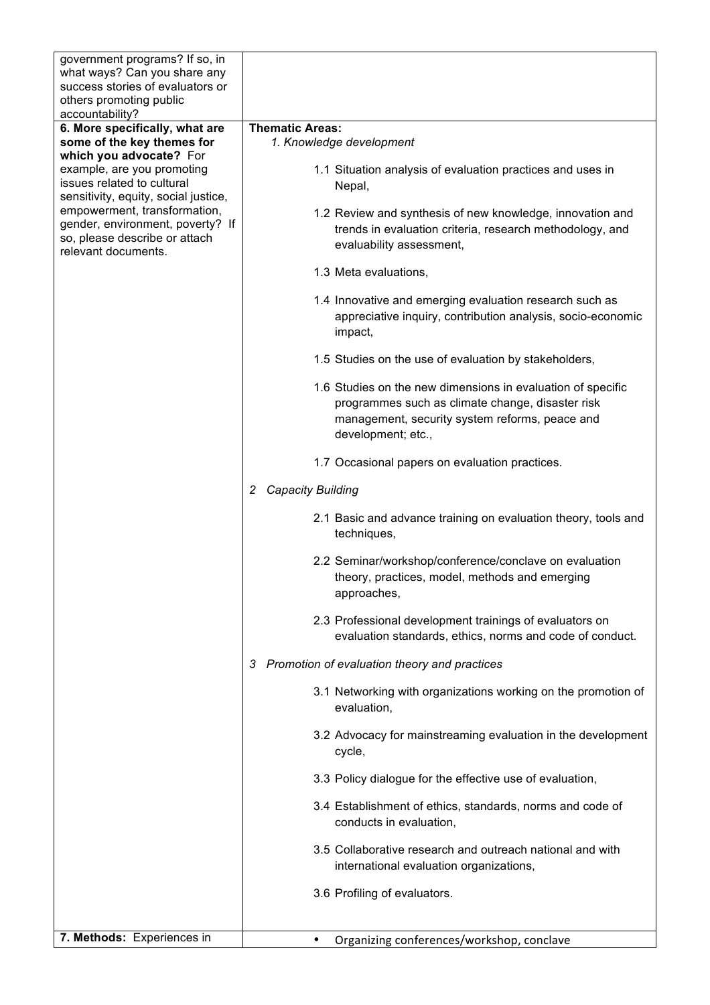| government programs? If so, in<br>what ways? Can you share any<br>success stories of evaluators or                       |                                                                                                                                                                                         |
|--------------------------------------------------------------------------------------------------------------------------|-----------------------------------------------------------------------------------------------------------------------------------------------------------------------------------------|
| others promoting public<br>accountability?                                                                               |                                                                                                                                                                                         |
| 6. More specifically, what are                                                                                           | <b>Thematic Areas:</b>                                                                                                                                                                  |
| some of the key themes for<br>which you advocate? For                                                                    | 1. Knowledge development                                                                                                                                                                |
| example, are you promoting<br>issues related to cultural<br>sensitivity, equity, social justice,                         | 1.1 Situation analysis of evaluation practices and uses in<br>Nepal,                                                                                                                    |
| empowerment, transformation,<br>gender, environment, poverty? If<br>so, please describe or attach<br>relevant documents. | 1.2 Review and synthesis of new knowledge, innovation and<br>trends in evaluation criteria, research methodology, and<br>evaluability assessment,                                       |
|                                                                                                                          | 1.3 Meta evaluations,                                                                                                                                                                   |
|                                                                                                                          | 1.4 Innovative and emerging evaluation research such as<br>appreciative inquiry, contribution analysis, socio-economic<br>impact,                                                       |
|                                                                                                                          | 1.5 Studies on the use of evaluation by stakeholders,                                                                                                                                   |
|                                                                                                                          | 1.6 Studies on the new dimensions in evaluation of specific<br>programmes such as climate change, disaster risk<br>management, security system reforms, peace and<br>development; etc., |
|                                                                                                                          | 1.7 Occasional papers on evaluation practices.                                                                                                                                          |
|                                                                                                                          | <b>Capacity Building</b><br>$\overline{2}$                                                                                                                                              |
|                                                                                                                          | 2.1 Basic and advance training on evaluation theory, tools and<br>techniques,                                                                                                           |
|                                                                                                                          | 2.2 Seminar/workshop/conference/conclave on evaluation<br>theory, practices, model, methods and emerging<br>approaches,                                                                 |
|                                                                                                                          | 2.3 Professional development trainings of evaluators on<br>evaluation standards, ethics, norms and code of conduct.                                                                     |
|                                                                                                                          | Promotion of evaluation theory and practices<br>3                                                                                                                                       |
|                                                                                                                          | 3.1 Networking with organizations working on the promotion of<br>evaluation,                                                                                                            |
|                                                                                                                          | 3.2 Advocacy for mainstreaming evaluation in the development<br>cycle,                                                                                                                  |
|                                                                                                                          | 3.3 Policy dialogue for the effective use of evaluation,                                                                                                                                |
|                                                                                                                          | 3.4 Establishment of ethics, standards, norms and code of<br>conducts in evaluation,                                                                                                    |
|                                                                                                                          | 3.5 Collaborative research and outreach national and with<br>international evaluation organizations,                                                                                    |
|                                                                                                                          | 3.6 Profiling of evaluators.                                                                                                                                                            |
|                                                                                                                          |                                                                                                                                                                                         |
| 7. Methods: Experiences in                                                                                               | Organizing conferences/workshop, conclave                                                                                                                                               |